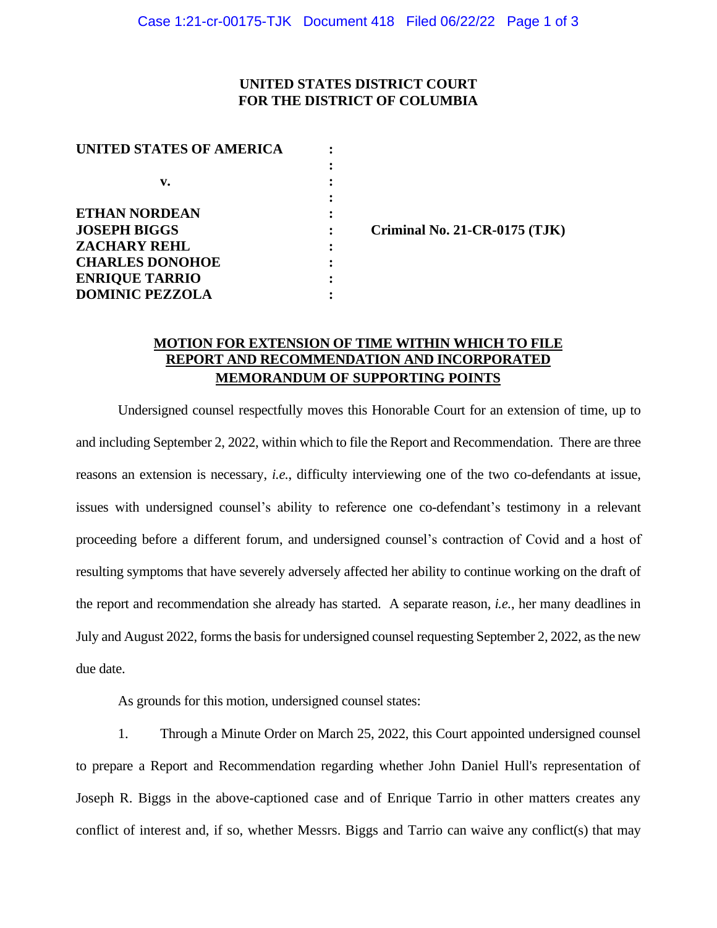## **UNITED STATES DISTRICT COURT FOR THE DISTRICT OF COLUMBIA**

**:**

| UNITED STATES OF AMERICA |  |
|--------------------------|--|
|                          |  |
| v.                       |  |
|                          |  |
| <b>ETHAN NORDEAN</b>     |  |
| <b>JOSEPH BIGGS</b>      |  |
| <b>ZACHARY REHL</b>      |  |
| <b>CHARLES DONOHOE</b>   |  |
| <b>ENRIQUE TARRIO</b>    |  |
| <b>DOMINIC PEZZOLA</b>   |  |

**: Criminal No. 21-CR-0175 (TJK)** 

## **MOTION FOR EXTENSION OF TIME WITHIN WHICH TO FILE REPORT AND RECOMMENDATION AND INCORPORATED MEMORANDUM OF SUPPORTING POINTS**

Undersigned counsel respectfully moves this Honorable Court for an extension of time, up to and including September 2, 2022, within which to file the Report and Recommendation. There are three reasons an extension is necessary, *i.e.*, difficulty interviewing one of the two co-defendants at issue, issues with undersigned counsel's ability to reference one co-defendant's testimony in a relevant proceeding before a different forum, and undersigned counsel's contraction of Covid and a host of resulting symptoms that have severely adversely affected her ability to continue working on the draft of the report and recommendation she already has started. A separate reason, *i.e.*, her many deadlines in July and August 2022, forms the basis for undersigned counsel requesting September 2, 2022, as the new due date.

As grounds for this motion, undersigned counsel states:

1. Through a Minute Order on March 25, 2022, this Court appointed undersigned counsel to prepare a Report and Recommendation regarding whether John Daniel Hull's representation of Joseph R. Biggs in the above-captioned case and of Enrique Tarrio in other matters creates any conflict of interest and, if so, whether Messrs. Biggs and Tarrio can waive any conflict(s) that may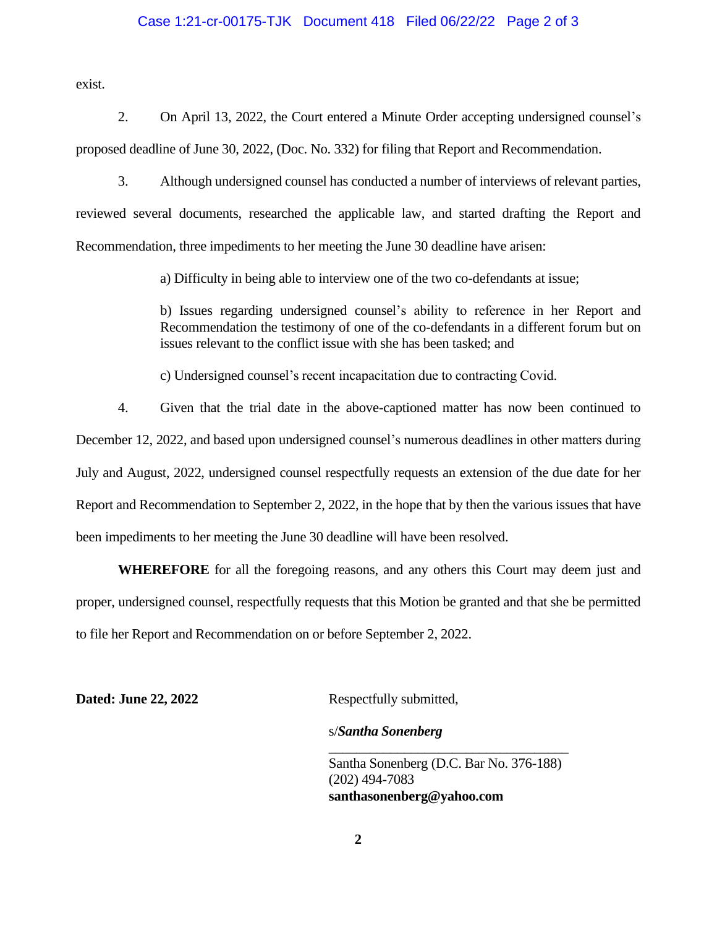#### Case 1:21-cr-00175-TJK Document 418 Filed 06/22/22 Page 2 of 3

exist.

- 2. On April 13, 2022, the Court entered a Minute Order accepting undersigned counsel's
- proposed deadline of June 30, 2022, (Doc. No. 332) for filing that Report and Recommendation.
	- 3. Although undersigned counsel has conducted a number of interviews of relevant parties,

reviewed several documents, researched the applicable law, and started drafting the Report and Recommendation, three impediments to her meeting the June 30 deadline have arisen:

a) Difficulty in being able to interview one of the two co-defendants at issue;

b) Issues regarding undersigned counsel's ability to reference in her Report and Recommendation the testimony of one of the co-defendants in a different forum but on issues relevant to the conflict issue with she has been tasked; and

c) Undersigned counsel's recent incapacitation due to contracting Covid.

4. Given that the trial date in the above-captioned matter has now been continued to December 12, 2022, and based upon undersigned counsel's numerous deadlines in other matters during July and August, 2022, undersigned counsel respectfully requests an extension of the due date for her Report and Recommendation to September 2, 2022, in the hope that by then the various issues that have been impediments to her meeting the June 30 deadline will have been resolved.

**WHEREFORE** for all the foregoing reasons, and any others this Court may deem just and proper, undersigned counsel, respectfully requests that this Motion be granted and that she be permitted to file her Report and Recommendation on or before September 2, 2022.

**Dated: June 22, 2022** Respectfully submitted,

### s/*Santha Sonenberg*

Santha Sonenberg (D.C. Bar No. 376-188) (202) 494-7083 **santhasonenberg@yahoo.com**

\_\_\_\_\_\_\_\_\_\_\_\_\_\_\_\_\_\_\_\_\_\_\_\_\_\_\_\_\_\_\_\_\_\_\_